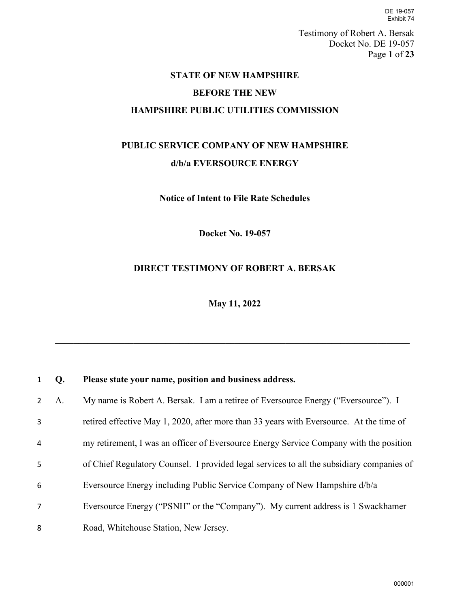DE 19-057 Exhibit 74

Testimony of Robert A. Bersak Docket No. DE 19-057 Page **1** of **23**

### **STATE OF NEW HAMPSHIRE**

### **BEFORE THE NEW**

#### **HAMPSHIRE PUBLIC UTILITIES COMMISSION**

# **PUBLIC SERVICE COMPANY OF NEW HAMPSHIRE d/b/a EVERSOURCE ENERGY**

**Notice of Intent to File Rate Schedules**

**Docket No. 19-057** 

## **DIRECT TESTIMONY OF ROBERT A. BERSAK**

**May 11, 2022** 

| $1\quad$       | Q. | Please state your name, position and business address.                                    |
|----------------|----|-------------------------------------------------------------------------------------------|
| $\mathbf{2}$   | A. | My name is Robert A. Bersak. I am a retiree of Eversource Energy ("Eversource"). I        |
| 3              |    | retired effective May 1, 2020, after more than 33 years with Eversource. At the time of   |
| 4              |    | my retirement, I was an officer of Eversource Energy Service Company with the position    |
| 5              |    | of Chief Regulatory Counsel. I provided legal services to all the subsidiary companies of |
| 6              |    | Eversource Energy including Public Service Company of New Hampshire d/b/a                 |
| $\overline{7}$ |    | Eversource Energy ("PSNH" or the "Company"). My current address is 1 Swackhamer           |
| 8              |    | Road, Whitehouse Station, New Jersey.                                                     |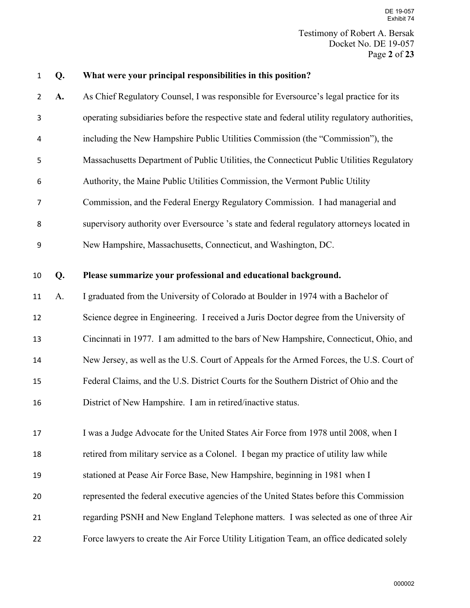Testimony of Robert A. Bersak Docket No. DE 19-057 Page **2** of **23** DE 19-057 Exhibit 74

#### **Q. What were your principal responsibilities in this position?**

- **A.** As Chief Regulatory Counsel, I was responsible for Eversource's legal practice for its operating subsidiaries before the respective state and federal utility regulatory authorities, including the New Hampshire Public Utilities Commission (the "Commission"), the Massachusetts Department of Public Utilities, the Connecticut Public Utilities Regulatory Authority, the Maine Public Utilities Commission, the Vermont Public Utility Commission, and the Federal Energy Regulatory Commission. I had managerial and supervisory authority over Eversource 's state and federal regulatory attorneys located in New Hampshire, Massachusetts, Connecticut, and Washington, DC. **Q. Please summarize your professional and educational background.**  A. I graduated from the University of Colorado at Boulder in 1974 with a Bachelor of Science degree in Engineering. I received a Juris Doctor degree from the University of Cincinnati in 1977. I am admitted to the bars of New Hampshire, Connecticut, Ohio, and New Jersey, as well as the U.S. Court of Appeals for the Armed Forces, the U.S. Court of
- Federal Claims, and the U.S. District Courts for the Southern District of Ohio and the
- District of New Hampshire. I am in retired/inactive status.

17 I was a Judge Advocate for the United States Air Force from 1978 until 2008, when I retired from military service as a Colonel. I began my practice of utility law while stationed at Pease Air Force Base, New Hampshire, beginning in 1981 when I represented the federal executive agencies of the United States before this Commission regarding PSNH and New England Telephone matters. I was selected as one of three Air

Force lawyers to create the Air Force Utility Litigation Team, an office dedicated solely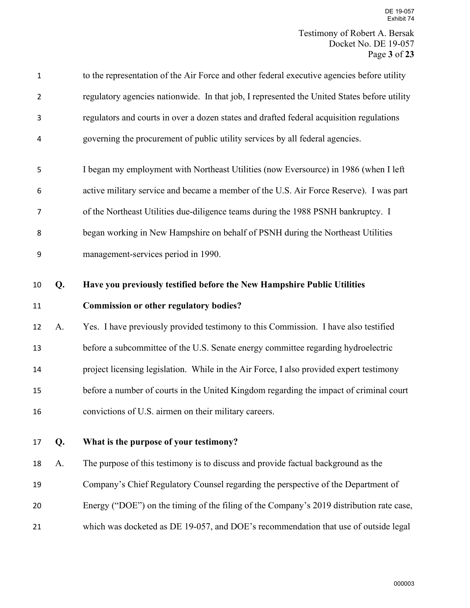| $\mathbf 1$    |    | to the representation of the Air Force and other federal executive agencies before utility  |
|----------------|----|---------------------------------------------------------------------------------------------|
| $\overline{2}$ |    | regulatory agencies nationwide. In that job, I represented the United States before utility |
| 3              |    | regulators and courts in over a dozen states and drafted federal acquisition regulations    |
| 4              |    | governing the procurement of public utility services by all federal agencies.               |
| 5              |    | I began my employment with Northeast Utilities (now Eversource) in 1986 (when I left        |
| 6              |    | active military service and became a member of the U.S. Air Force Reserve). I was part      |
| 7              |    | of the Northeast Utilities due-diligence teams during the 1988 PSNH bankruptcy. I           |
| 8              |    | began working in New Hampshire on behalf of PSNH during the Northeast Utilities             |
| 9              |    | management-services period in 1990.                                                         |
| 10             | Q. | Have you previously testified before the New Hampshire Public Utilities                     |
| 11             |    | <b>Commission or other regulatory bodies?</b>                                               |
| 12             | A. | Yes. I have previously provided testimony to this Commission. I have also testified         |
| 13             |    | before a subcommittee of the U.S. Senate energy committee regarding hydroelectric           |
| 14             |    | project licensing legislation. While in the Air Force, I also provided expert testimony     |
| 15             |    | before a number of courts in the United Kingdom regarding the impact of criminal court      |
| 16             |    | convictions of U.S. airmen on their military careers.                                       |
| 17             | Q. | What is the purpose of your testimony?                                                      |
| 18             | A. | The purpose of this testimony is to discuss and provide factual background as the           |
| 19             |    | Company's Chief Regulatory Counsel regarding the perspective of the Department of           |
| 20             |    | Energy ("DOE") on the timing of the filing of the Company's 2019 distribution rate case,    |
| 21             |    | which was docketed as DE 19-057, and DOE's recommendation that use of outside legal         |
|                |    |                                                                                             |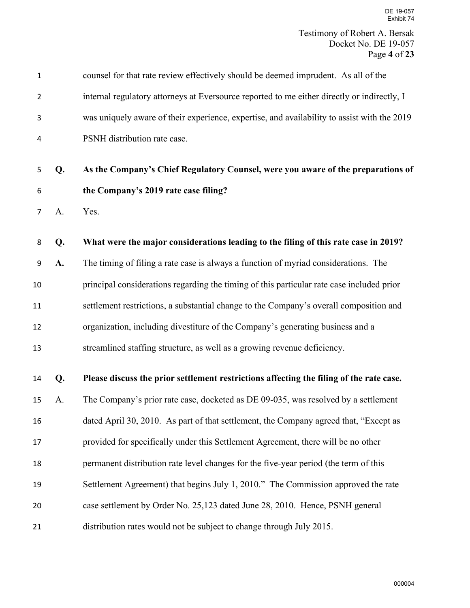| $\mathbf 1$    |    | counsel for that rate review effectively should be deemed imprudent. As all of the          |
|----------------|----|---------------------------------------------------------------------------------------------|
| $\overline{2}$ |    | internal regulatory attorneys at Eversource reported to me either directly or indirectly, I |
| 3              |    | was uniquely aware of their experience, expertise, and availability to assist with the 2019 |
| 4              |    | PSNH distribution rate case.                                                                |
| 5              | Q. | As the Company's Chief Regulatory Counsel, were you aware of the preparations of            |
| 6              |    | the Company's 2019 rate case filing?                                                        |
| 7              | A. | Yes.                                                                                        |
| 8              | Q. | What were the major considerations leading to the filing of this rate case in 2019?         |
| 9              | A. | The timing of filing a rate case is always a function of myriad considerations. The         |
| 10             |    | principal considerations regarding the timing of this particular rate case included prior   |
| 11             |    | settlement restrictions, a substantial change to the Company's overall composition and      |
| 12             |    | organization, including divestiture of the Company's generating business and a              |
| 13             |    | streamlined staffing structure, as well as a growing revenue deficiency.                    |
| 14             | Q. | Please discuss the prior settlement restrictions affecting the filing of the rate case.     |
| 15             | A. | The Company's prior rate case, docketed as DE 09-035, was resolved by a settlement          |
| 16             |    | dated April 30, 2010. As part of that settlement, the Company agreed that, "Except as       |
| 17             |    | provided for specifically under this Settlement Agreement, there will be no other           |
| 18             |    | permanent distribution rate level changes for the five-year period (the term of this        |
| 19             |    | Settlement Agreement) that begins July 1, 2010." The Commission approved the rate           |
| 20             |    | case settlement by Order No. 25,123 dated June 28, 2010. Hence, PSNH general                |
| 21             |    | distribution rates would not be subject to change through July 2015.                        |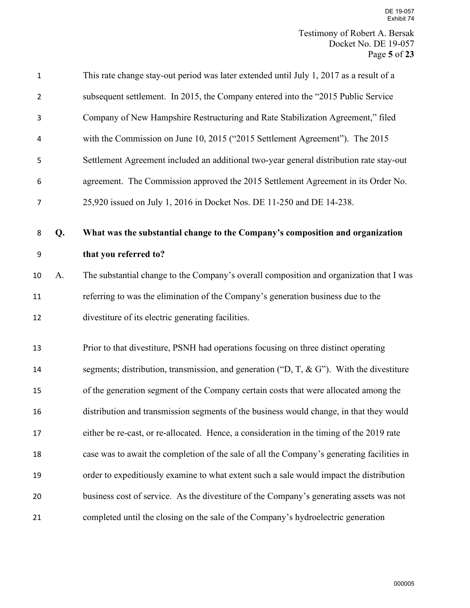| $\mathbf 1$    |    | This rate change stay-out period was later extended until July 1, 2017 as a result of a       |
|----------------|----|-----------------------------------------------------------------------------------------------|
| $\overline{2}$ |    | subsequent settlement. In 2015, the Company entered into the "2015 Public Service"            |
| 3              |    | Company of New Hampshire Restructuring and Rate Stabilization Agreement," filed               |
| 4              |    | with the Commission on June 10, 2015 ("2015 Settlement Agreement"). The 2015                  |
| 5              |    | Settlement Agreement included an additional two-year general distribution rate stay-out       |
| 6              |    | agreement. The Commission approved the 2015 Settlement Agreement in its Order No.             |
| $\overline{7}$ |    | 25,920 issued on July 1, 2016 in Docket Nos. DE 11-250 and DE 14-238.                         |
| 8              | Q. | What was the substantial change to the Company's composition and organization                 |
| 9              |    | that you referred to?                                                                         |
| 10             | A. | The substantial change to the Company's overall composition and organization that I was       |
| 11             |    | referring to was the elimination of the Company's generation business due to the              |
| 12             |    | divestiture of its electric generating facilities.                                            |
| 13             |    | Prior to that divestiture, PSNH had operations focusing on three distinct operating           |
| 14             |    | segments; distribution, transmission, and generation (" $D, T, \& G$ "). With the divestiture |
| 15             |    | of the generation segment of the Company certain costs that were allocated among the          |
| 16             |    | distribution and transmission segments of the business would change, in that they would       |
| 17             |    | either be re-cast, or re-allocated. Hence, a consideration in the timing of the 2019 rate     |
| 18             |    | case was to await the completion of the sale of all the Company's generating facilities in    |
| 19             |    | order to expeditiously examine to what extent such a sale would impact the distribution       |
| 20             |    | business cost of service. As the divestiture of the Company's generating assets was not       |
| 21             |    | completed until the closing on the sale of the Company's hydroelectric generation             |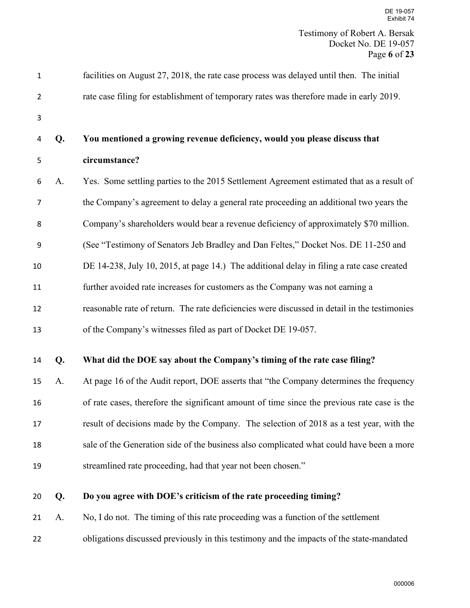| $\mathbf 1$    |    | facilities on August 27, 2018, the rate case process was delayed until then. The initial     |
|----------------|----|----------------------------------------------------------------------------------------------|
| $\overline{2}$ |    | rate case filing for establishment of temporary rates was therefore made in early 2019.      |
| 3              |    |                                                                                              |
| 4              | Q. | You mentioned a growing revenue deficiency, would you please discuss that                    |
| 5              |    | circumstance?                                                                                |
| 6              | A. | Yes. Some settling parties to the 2015 Settlement Agreement estimated that as a result of    |
| 7              |    | the Company's agreement to delay a general rate proceeding an additional two years the       |
| 8              |    | Company's shareholders would bear a revenue deficiency of approximately \$70 million.        |
| 9              |    | (See "Testimony of Senators Jeb Bradley and Dan Feltes," Docket Nos. DE 11-250 and           |
| 10             |    | DE 14-238, July 10, 2015, at page 14.) The additional delay in filing a rate case created    |
| 11             |    | further avoided rate increases for customers as the Company was not earning a                |
| 12             |    | reasonable rate of return. The rate deficiencies were discussed in detail in the testimonies |
| 13             |    | of the Company's witnesses filed as part of Docket DE 19-057.                                |
| 14             | Q. | What did the DOE say about the Company's timing of the rate case filing?                     |
| 15             | A. | At page 16 of the Audit report, DOE asserts that "the Company determines the frequency       |
|                |    |                                                                                              |
| 16             |    | of rate cases, therefore the significant amount of time since the previous rate case is the  |
| 17             |    | result of decisions made by the Company. The selection of 2018 as a test year, with the      |
| 18             |    | sale of the Generation side of the business also complicated what could have been a more     |
| 19             |    | streamlined rate proceeding, had that year not been chosen."                                 |
| 20             | Q. | Do you agree with DOE's criticism of the rate proceeding timing?                             |
|                |    |                                                                                              |
| 21             | A. | No, I do not. The timing of this rate proceeding was a function of the settlement            |

obligations discussed previously in this testimony and the impacts of the state-mandated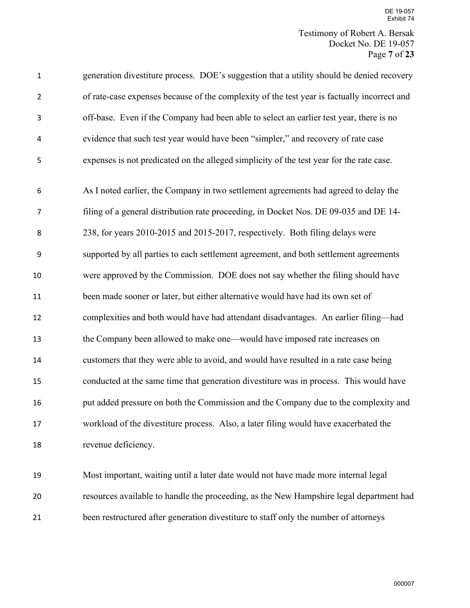Testimony of Robert A. Bersak Docket No. DE 19-057 Page **7** of **23**

| $\mathbf{1}$   | generation divestiture process. DOE's suggestion that a utility should be denied recovery   |
|----------------|---------------------------------------------------------------------------------------------|
| $\overline{2}$ | of rate-case expenses because of the complexity of the test year is factually incorrect and |
| 3              | off-base. Even if the Company had been able to select an earlier test year, there is no     |
| 4              | evidence that such test year would have been "simpler," and recovery of rate case           |
| 5              | expenses is not predicated on the alleged simplicity of the test year for the rate case.    |
| 6              | As I noted earlier, the Company in two settlement agreements had agreed to delay the        |
| $\overline{7}$ | filing of a general distribution rate proceeding, in Docket Nos. DE 09-035 and DE 14-       |
| 8              | 238, for years 2010-2015 and 2015-2017, respectively. Both filing delays were               |
| 9              | supported by all parties to each settlement agreement, and both settlement agreements       |
| 10             | were approved by the Commission. DOE does not say whether the filing should have            |
| 11             | been made sooner or later, but either alternative would have had its own set of             |
| 12             | complexities and both would have had attendant disadvantages. An earlier filing-had         |
| 13             | the Company been allowed to make one—would have imposed rate increases on                   |
| 14             | customers that they were able to avoid, and would have resulted in a rate case being        |
| 15             | conducted at the same time that generation divestiture was in process. This would have      |
| 16             | put added pressure on both the Commission and the Company due to the complexity and         |
| 17             | workload of the divestiture process. Also, a later filing would have exacerbated the        |
| 18             | revenue deficiency.                                                                         |
| 19             | Most important, waiting until a later date would not have made more internal legal          |
| 20             | resources available to handle the proceeding, as the New Hampshire legal department had     |

been restructured after generation divestiture to staff only the number of attorneys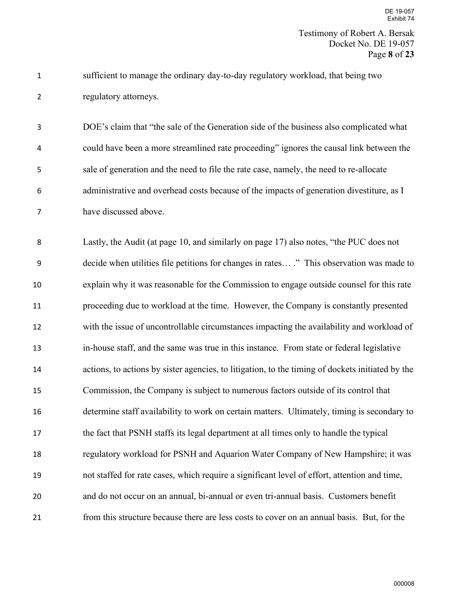sufficient to manage the ordinary day-to-day regulatory workload, that being two regulatory attorneys.

DOE's claim that "the sale of the Generation side of the business also complicated what could have been a more streamlined rate proceeding" ignores the causal link between the sale of generation and the need to file the rate case, namely, the need to re-allocate administrative and overhead costs because of the impacts of generation divestiture, as I have discussed above.

Lastly, the Audit (at page 10, and similarly on page 17) also notes, "the PUC does not decide when utilities file petitions for changes in rates… ." This observation was made to explain why it was reasonable for the Commission to engage outside counsel for this rate proceeding due to workload at the time. However, the Company is constantly presented with the issue of uncontrollable circumstances impacting the availability and workload of in-house staff, and the same was true in this instance. From state or federal legislative actions, to actions by sister agencies, to litigation, to the timing of dockets initiated by the Commission, the Company is subject to numerous factors outside of its control that determine staff availability to work on certain matters. Ultimately, timing is secondary to the fact that PSNH staffs its legal department at all times only to handle the typical regulatory workload for PSNH and Aquarion Water Company of New Hampshire; it was not staffed for rate cases, which require a significant level of effort, attention and time, and do not occur on an annual, bi-annual or even tri-annual basis. Customers benefit from this structure because there are less costs to cover on an annual basis. But, for the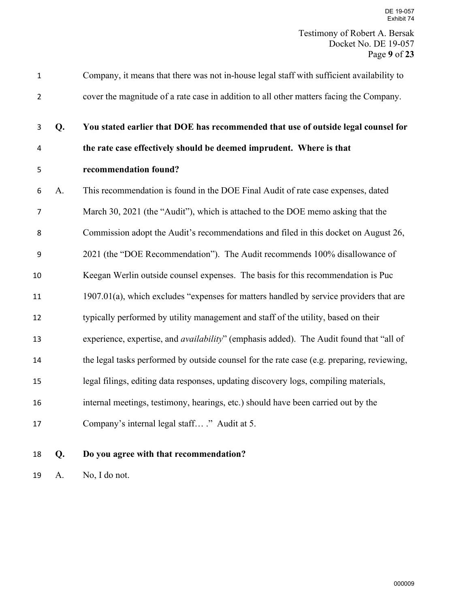Page **9** of **23**

| $\mathbf{1}$            |    | Company, it means that there was not in-house legal staff with sufficient availability to       |
|-------------------------|----|-------------------------------------------------------------------------------------------------|
| $\overline{2}$          |    | cover the magnitude of a rate case in addition to all other matters facing the Company.         |
| 3                       | Q. | You stated earlier that DOE has recommended that use of outside legal counsel for               |
| $\overline{\mathbf{4}}$ |    | the rate case effectively should be deemed imprudent. Where is that                             |
| 5                       |    | recommendation found?                                                                           |
| 6                       | A. | This recommendation is found in the DOE Final Audit of rate case expenses, dated                |
| $\overline{7}$          |    | March 30, 2021 (the "Audit"), which is attached to the DOE memo asking that the                 |
| 8                       |    | Commission adopt the Audit's recommendations and filed in this docket on August 26,             |
| 9                       |    | 2021 (the "DOE Recommendation"). The Audit recommends 100% disallowance of                      |
| 10                      |    | Keegan Werlin outside counsel expenses. The basis for this recommendation is Puc                |
| 11                      |    | 1907.01(a), which excludes "expenses for matters handled by service providers that are          |
| 12                      |    | typically performed by utility management and staff of the utility, based on their              |
| 13                      |    | experience, expertise, and <i>availability</i> " (emphasis added). The Audit found that "all of |
| 14                      |    | the legal tasks performed by outside counsel for the rate case (e.g. preparing, reviewing,      |
| 15                      |    | legal filings, editing data responses, updating discovery logs, compiling materials,            |
| 16                      |    | internal meetings, testimony, hearings, etc.) should have been carried out by the               |
| 17                      |    | Company's internal legal staff ." Audit at 5.                                                   |

**Q. Do you agree with that recommendation?**

A. No, I do not.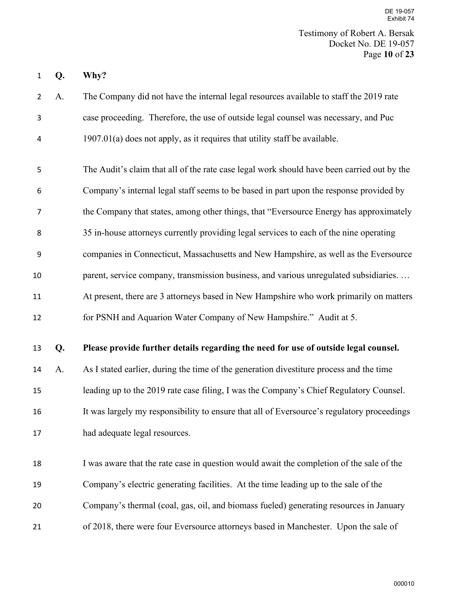**Q. Why?** 

A. The Company did not have the internal legal resources available to staff the 2019 rate case proceeding. Therefore, the use of outside legal counsel was necessary, and Puc 1907.01(a) does not apply, as it requires that utility staff be available.

The Audit's claim that all of the rate case legal work should have been carried out by the Company's internal legal staff seems to be based in part upon the response provided by the Company that states, among other things, that "Eversource Energy has approximately 35 in-house attorneys currently providing legal services to each of the nine operating companies in Connecticut, Massachusetts and New Hampshire, as well as the Eversource 10 parent, service company, transmission business, and various unregulated subsidiaries. ... At present, there are 3 attorneys based in New Hampshire who work primarily on matters for PSNH and Aquarion Water Company of New Hampshire." Audit at 5.

#### **Q. Please provide further details regarding the need for use of outside legal counsel.**

 A. As I stated earlier, during the time of the generation divestiture process and the time leading up to the 2019 rate case filing, I was the Company's Chief Regulatory Counsel. It was largely my responsibility to ensure that all of Eversource's regulatory proceedings had adequate legal resources.

 I was aware that the rate case in question would await the completion of the sale of the Company's electric generating facilities. At the time leading up to the sale of the Company's thermal (coal, gas, oil, and biomass fueled) generating resources in January of 2018, there were four Eversource attorneys based in Manchester. Upon the sale of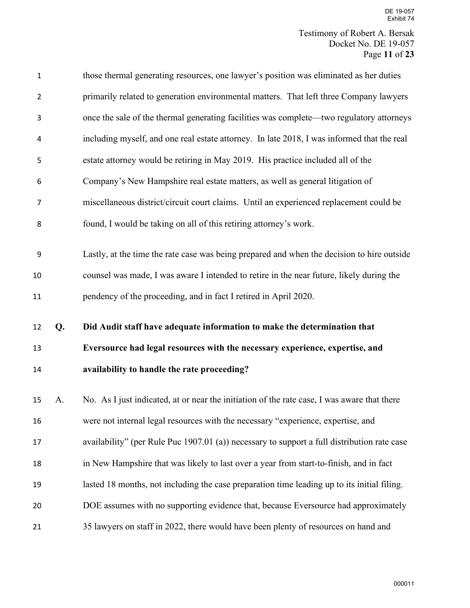| $\mathbf 1$    |    | those thermal generating resources, one lawyer's position was eliminated as her duties      |
|----------------|----|---------------------------------------------------------------------------------------------|
| $\overline{2}$ |    | primarily related to generation environmental matters. That left three Company lawyers      |
| 3              |    | once the sale of the thermal generating facilities was complete—two regulatory attorneys    |
| 4              |    | including myself, and one real estate attorney. In late 2018, I was informed that the real  |
| 5              |    | estate attorney would be retiring in May 2019. His practice included all of the             |
| 6              |    | Company's New Hampshire real estate matters, as well as general litigation of               |
| 7              |    | miscellaneous district/circuit court claims. Until an experienced replacement could be      |
| 8              |    | found, I would be taking on all of this retiring attorney's work.                           |
|                |    |                                                                                             |
| 9              |    | Lastly, at the time the rate case was being prepared and when the decision to hire outside  |
| 10             |    | counsel was made, I was aware I intended to retire in the near future, likely during the    |
| 11             |    | pendency of the proceeding, and in fact I retired in April 2020.                            |
|                |    |                                                                                             |
| 12             | Q. | Did Audit staff have adequate information to make the determination that                    |
| 13             |    | Eversource had legal resources with the necessary experience, expertise, and                |
| 14             |    | availability to handle the rate proceeding?                                                 |
|                |    |                                                                                             |
| 15             | A. | No. As I just indicated, at or near the initiation of the rate case, I was aware that there |
| 16             |    | were not internal legal resources with the necessary "experience, expertise, and            |
| 17             |    | availability" (per Rule Puc 1907.01 (a)) necessary to support a full distribution rate case |
| 18             |    | in New Hampshire that was likely to last over a year from start-to-finish, and in fact      |
| 19             |    | lasted 18 months, not including the case preparation time leading up to its initial filing. |
| 20             |    | DOE assumes with no supporting evidence that, because Eversource had approximately          |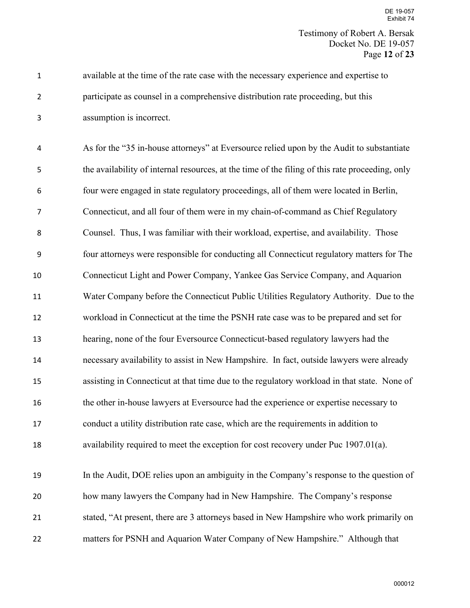Testimony of Robert A. Bersak Docket No. DE 19-057 Page **12** of **23**

available at the time of the rate case with the necessary experience and expertise to participate as counsel in a comprehensive distribution rate proceeding, but this assumption is incorrect.

As for the "35 in-house attorneys" at Eversource relied upon by the Audit to substantiate the availability of internal resources, at the time of the filing of this rate proceeding, only four were engaged in state regulatory proceedings, all of them were located in Berlin, Connecticut, and all four of them were in my chain-of-command as Chief Regulatory Counsel. Thus, I was familiar with their workload, expertise, and availability. Those four attorneys were responsible for conducting all Connecticut regulatory matters for The Connecticut Light and Power Company, Yankee Gas Service Company, and Aquarion Water Company before the Connecticut Public Utilities Regulatory Authority. Due to the workload in Connecticut at the time the PSNH rate case was to be prepared and set for hearing, none of the four Eversource Connecticut-based regulatory lawyers had the necessary availability to assist in New Hampshire. In fact, outside lawyers were already assisting in Connecticut at that time due to the regulatory workload in that state. None of the other in-house lawyers at Eversource had the experience or expertise necessary to conduct a utility distribution rate case, which are the requirements in addition to availability required to meet the exception for cost recovery under Puc 1907.01(a). In the Audit, DOE relies upon an ambiguity in the Company's response to the question of how many lawyers the Company had in New Hampshire. The Company's response

matters for PSNH and Aquarion Water Company of New Hampshire." Although that

stated, "At present, there are 3 attorneys based in New Hampshire who work primarily on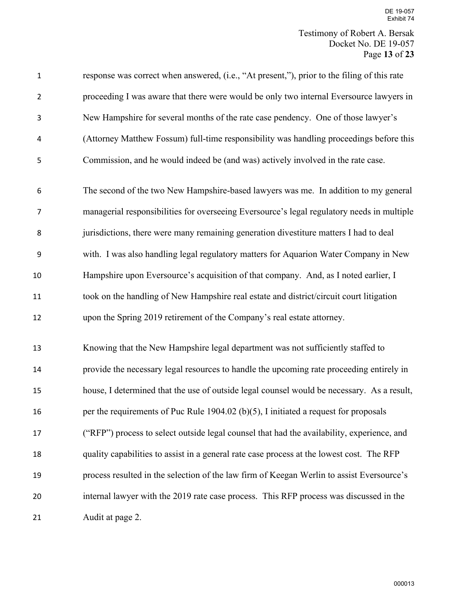Testimony of Robert A. Bersak Docket No. DE 19-057 Page **13** of **23**

| $\mathbf 1$    | response was correct when answered, (i.e., "At present,"), prior to the filing of this rate |
|----------------|---------------------------------------------------------------------------------------------|
| $\overline{2}$ | proceeding I was aware that there were would be only two internal Eversource lawyers in     |
| 3              | New Hampshire for several months of the rate case pendency. One of those lawyer's           |
| 4              | (Attorney Matthew Fossum) full-time responsibility was handling proceedings before this     |
| 5              | Commission, and he would indeed be (and was) actively involved in the rate case.            |
| 6              | The second of the two New Hampshire-based lawyers was me. In addition to my general         |
| $\overline{7}$ | managerial responsibilities for overseeing Eversource's legal regulatory needs in multiple  |
| 8              | jurisdictions, there were many remaining generation divestiture matters I had to deal       |
| 9              | with. I was also handling legal regulatory matters for Aquarion Water Company in New        |
| 10             | Hampshire upon Eversource's acquisition of that company. And, as I noted earlier, I         |
| 11             | took on the handling of New Hampshire real estate and district/circuit court litigation     |
| 12             | upon the Spring 2019 retirement of the Company's real estate attorney.                      |
| 13             | Knowing that the New Hampshire legal department was not sufficiently staffed to             |
| 14             | provide the necessary legal resources to handle the upcoming rate proceeding entirely in    |
| 15             | house, I determined that the use of outside legal counsel would be necessary. As a result,  |
| 16             | per the requirements of Puc Rule 1904.02 (b)(5), I initiated a request for proposals        |
| 17             | ("RFP") process to select outside legal counsel that had the availability, experience, and  |
| 18             | quality capabilities to assist in a general rate case process at the lowest cost. The RFP   |
| 19             | process resulted in the selection of the law firm of Keegan Werlin to assist Eversource's   |
| 20             | internal lawyer with the 2019 rate case process. This RFP process was discussed in the      |
| 21             | Audit at page 2.                                                                            |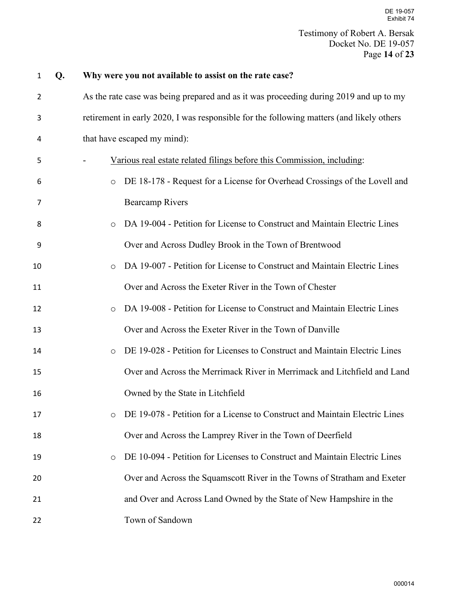| $\mathbf{1}$   | Q. | Why were you not available to assist on the rate case?                                   |  |  |
|----------------|----|------------------------------------------------------------------------------------------|--|--|
| $\overline{2}$ |    | As the rate case was being prepared and as it was proceeding during 2019 and up to my    |  |  |
| 3              |    | retirement in early 2020, I was responsible for the following matters (and likely others |  |  |
| 4              |    | that have escaped my mind):                                                              |  |  |
| 5              |    | Various real estate related filings before this Commission, including:                   |  |  |
| 6              |    | DE 18-178 - Request for a License for Overhead Crossings of the Lovell and<br>$\circ$    |  |  |
| 7              |    | <b>Bearcamp Rivers</b>                                                                   |  |  |
| 8              |    | DA 19-004 - Petition for License to Construct and Maintain Electric Lines<br>$\circ$     |  |  |
| 9              |    | Over and Across Dudley Brook in the Town of Brentwood                                    |  |  |
| 10             |    | DA 19-007 - Petition for License to Construct and Maintain Electric Lines<br>$\circ$     |  |  |
| 11             |    | Over and Across the Exeter River in the Town of Chester                                  |  |  |
| 12             |    | DA 19-008 - Petition for License to Construct and Maintain Electric Lines<br>$\circ$     |  |  |
| 13             |    | Over and Across the Exeter River in the Town of Danville                                 |  |  |
| 14             |    | DE 19-028 - Petition for Licenses to Construct and Maintain Electric Lines<br>$\circ$    |  |  |
| 15             |    | Over and Across the Merrimack River in Merrimack and Litchfield and Land                 |  |  |
| 16             |    | Owned by the State in Litchfield                                                         |  |  |
| 17             |    | DE 19-078 - Petition for a License to Construct and Maintain Electric Lines              |  |  |
| 18             |    | Over and Across the Lamprey River in the Town of Deerfield                               |  |  |
| 19             |    | DE 10-094 - Petition for Licenses to Construct and Maintain Electric Lines<br>$\circ$    |  |  |
| 20             |    | Over and Across the Squamscott River in the Towns of Stratham and Exeter                 |  |  |
| 21             |    | and Over and Across Land Owned by the State of New Hampshire in the                      |  |  |
| 22             |    | Town of Sandown                                                                          |  |  |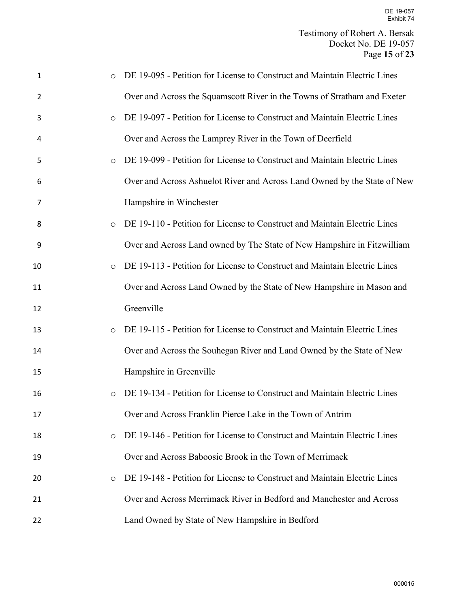| 1  | $\circ$ | DE 19-095 - Petition for License to Construct and Maintain Electric Lines |
|----|---------|---------------------------------------------------------------------------|
| 2  |         | Over and Across the Squamscott River in the Towns of Stratham and Exeter  |
| 3  | $\circ$ | DE 19-097 - Petition for License to Construct and Maintain Electric Lines |
| 4  |         | Over and Across the Lamprey River in the Town of Deerfield                |
| 5  | $\circ$ | DE 19-099 - Petition for License to Construct and Maintain Electric Lines |
| 6  |         | Over and Across Ashuelot River and Across Land Owned by the State of New  |
| 7  |         | Hampshire in Winchester                                                   |
| 8  | $\circ$ | DE 19-110 - Petition for License to Construct and Maintain Electric Lines |
| 9  |         | Over and Across Land owned by The State of New Hampshire in Fitzwilliam   |
| 10 | $\circ$ | DE 19-113 - Petition for License to Construct and Maintain Electric Lines |
| 11 |         | Over and Across Land Owned by the State of New Hampshire in Mason and     |
| 12 |         | Greenville                                                                |
| 13 | $\circ$ | DE 19-115 - Petition for License to Construct and Maintain Electric Lines |
| 14 |         | Over and Across the Souhegan River and Land Owned by the State of New     |
| 15 |         | Hampshire in Greenville                                                   |
| 16 | $\circ$ | DE 19-134 - Petition for License to Construct and Maintain Electric Lines |
| 17 |         | Over and Across Franklin Pierce Lake in the Town of Antrim                |
| 18 | $\circ$ | DE 19-146 - Petition for License to Construct and Maintain Electric Lines |
| 19 |         | Over and Across Baboosic Brook in the Town of Merrimack                   |
| 20 | $\circ$ | DE 19-148 - Petition for License to Construct and Maintain Electric Lines |
| 21 |         | Over and Across Merrimack River in Bedford and Manchester and Across      |
| 22 |         | Land Owned by State of New Hampshire in Bedford                           |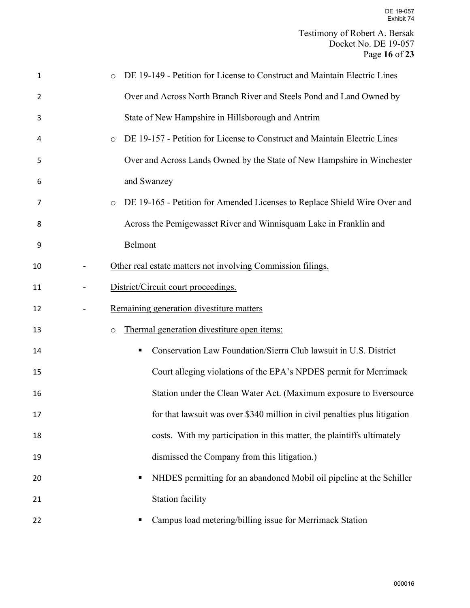| 1  | DE 19-149 - Petition for License to Construct and Maintain Electric Lines<br>$\circ$ |
|----|--------------------------------------------------------------------------------------|
| 2  | Over and Across North Branch River and Steels Pond and Land Owned by                 |
| 3  | State of New Hampshire in Hillsborough and Antrim                                    |
| 4  | DE 19-157 - Petition for License to Construct and Maintain Electric Lines<br>$\circ$ |
| 5  | Over and Across Lands Owned by the State of New Hampshire in Winchester              |
| 6  | and Swanzey                                                                          |
| 7  | DE 19-165 - Petition for Amended Licenses to Replace Shield Wire Over and<br>$\circ$ |
| 8  | Across the Pemigewasset River and Winnisquam Lake in Franklin and                    |
| 9  | Belmont                                                                              |
| 10 | Other real estate matters not involving Commission filings.                          |
| 11 | District/Circuit court proceedings.                                                  |
| 12 | Remaining generation divestiture matters                                             |
| 13 | Thermal generation divestiture open items:<br>$\circ$                                |
| 14 | Conservation Law Foundation/Sierra Club lawsuit in U.S. District<br>п                |
| 15 | Court alleging violations of the EPA's NPDES permit for Merrimack                    |
| 16 | Station under the Clean Water Act. (Maximum exposure to Eversource                   |
| 17 | for that lawsuit was over \$340 million in civil penalties plus litigation           |
| 18 | costs. With my participation in this matter, the plaintiffs ultimately               |
| 19 | dismissed the Company from this litigation.)                                         |
| 20 | NHDES permitting for an abandoned Mobil oil pipeline at the Schiller<br>п            |
| 21 | Station facility                                                                     |
| 22 | Campus load metering/billing issue for Merrimack Station                             |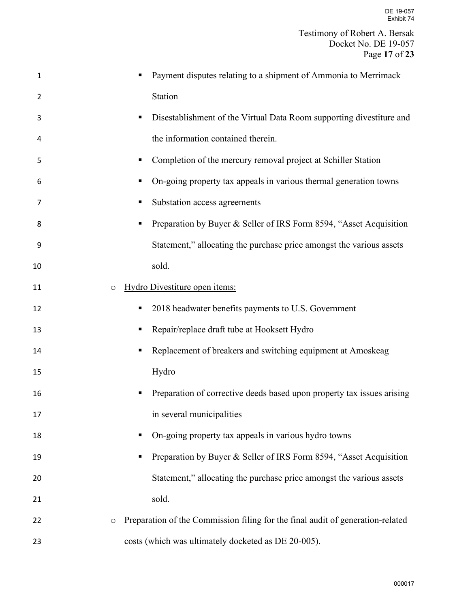| $\mathbf{1}$ | Payment disputes relating to a shipment of Ammonia to Merrimack                           |
|--------------|-------------------------------------------------------------------------------------------|
| 2            | Station                                                                                   |
| 3            | Disestablishment of the Virtual Data Room supporting divestiture and                      |
| 4            | the information contained therein.                                                        |
| 5            | Completion of the mercury removal project at Schiller Station                             |
| 6            | On-going property tax appeals in various thermal generation towns                         |
| 7            | Substation access agreements                                                              |
| 8            | Preparation by Buyer & Seller of IRS Form 8594, "Asset Acquisition                        |
| 9            | Statement," allocating the purchase price amongst the various assets                      |
| 10           | sold.                                                                                     |
| 11           | Hydro Divestiture open items:<br>$\circ$                                                  |
| 12           | 2018 headwater benefits payments to U.S. Government                                       |
| 13           | Repair/replace draft tube at Hooksett Hydro                                               |
| 14           | Replacement of breakers and switching equipment at Amoskeag                               |
| 15           | Hydro                                                                                     |
| 16           | Preparation of corrective deeds based upon property tax issues arising                    |
| 17           | in several municipalities                                                                 |
| 18           | On-going property tax appeals in various hydro towns                                      |
| 19           | Preparation by Buyer & Seller of IRS Form 8594, "Asset Acquisition                        |
| 20           | Statement," allocating the purchase price amongst the various assets                      |
| 21           | sold.                                                                                     |
| 22           | Preparation of the Commission filing for the final audit of generation-related<br>$\circ$ |
| 23           | costs (which was ultimately docketed as DE 20-005).                                       |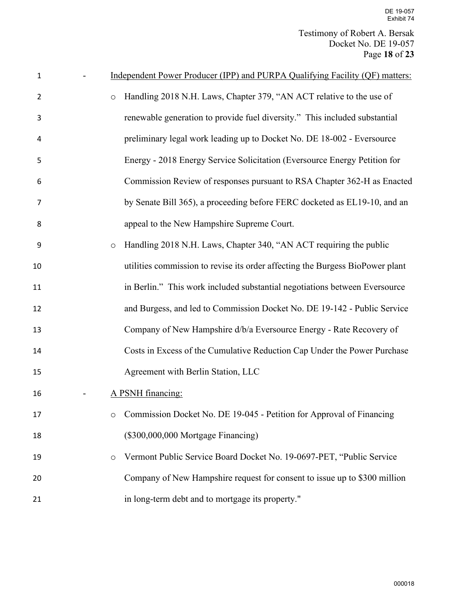| 1              |         | Independent Power Producer (IPP) and PURPA Qualifying Facility (QF) matters:  |
|----------------|---------|-------------------------------------------------------------------------------|
| $\overline{2}$ | $\circ$ | Handling 2018 N.H. Laws, Chapter 379, "AN ACT relative to the use of          |
| 3              |         | renewable generation to provide fuel diversity." This included substantial    |
| 4              |         | preliminary legal work leading up to Docket No. DE 18-002 - Eversource        |
| 5              |         | Energy - 2018 Energy Service Solicitation (Eversource Energy Petition for     |
| 6              |         | Commission Review of responses pursuant to RSA Chapter 362-H as Enacted       |
| 7              |         | by Senate Bill 365), a proceeding before FERC docketed as EL19-10, and an     |
| 8              |         | appeal to the New Hampshire Supreme Court.                                    |
| 9              | $\circ$ | Handling 2018 N.H. Laws, Chapter 340, "AN ACT requiring the public            |
| 10             |         | utilities commission to revise its order affecting the Burgess BioPower plant |
| 11             |         | in Berlin." This work included substantial negotiations between Eversource    |
| 12             |         | and Burgess, and led to Commission Docket No. DE 19-142 - Public Service      |
| 13             |         | Company of New Hampshire d/b/a Eversource Energy - Rate Recovery of           |
| 14             |         | Costs in Excess of the Cumulative Reduction Cap Under the Power Purchase      |
| 15             |         | Agreement with Berlin Station, LLC                                            |
| 16             |         | A PSNH financing:                                                             |
| 17             | O       | Commission Docket No. DE 19-045 - Petition for Approval of Financing          |
| 18             |         | (\$300,000,000 Mortgage Financing)                                            |
| 19             | $\circ$ | Vermont Public Service Board Docket No. 19-0697-PET, "Public Service          |
| 20             |         | Company of New Hampshire request for consent to issue up to \$300 million     |
| 21             |         | in long-term debt and to mortgage its property."                              |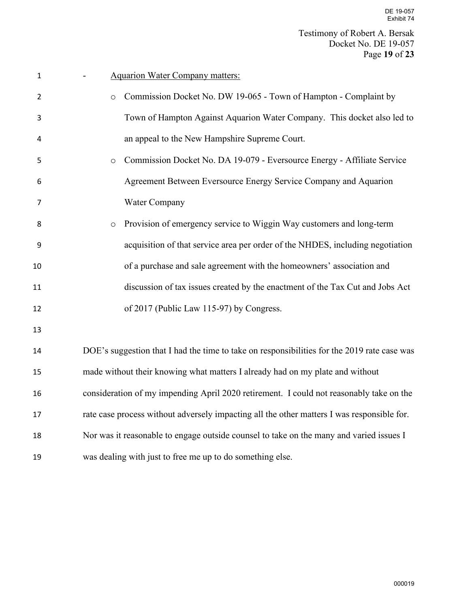| $\mathbf{1}$   | <b>Aquarion Water Company matters:</b>                                                      |
|----------------|---------------------------------------------------------------------------------------------|
| $\overline{2}$ | Commission Docket No. DW 19-065 - Town of Hampton - Complaint by<br>$\circ$                 |
| 3              | Town of Hampton Against Aquarion Water Company. This docket also led to                     |
| 4              | an appeal to the New Hampshire Supreme Court.                                               |
| 5              | Commission Docket No. DA 19-079 - Eversource Energy - Affiliate Service<br>$\circ$          |
| 6              | Agreement Between Eversource Energy Service Company and Aquarion                            |
| 7              | Water Company                                                                               |
| 8              | Provision of emergency service to Wiggin Way customers and long-term<br>$\circ$             |
| 9              | acquisition of that service area per order of the NHDES, including negotiation              |
| 10             | of a purchase and sale agreement with the homeowners' association and                       |
| 11             | discussion of tax issues created by the enactment of the Tax Cut and Jobs Act               |
| 12             | of 2017 (Public Law 115-97) by Congress.                                                    |
| 13             |                                                                                             |
| 14             | DOE's suggestion that I had the time to take on responsibilities for the 2019 rate case was |
| 15             | made without their knowing what matters I already had on my plate and without               |
| 16             | consideration of my impending April 2020 retirement. I could not reasonably take on the     |
| 17             | rate case process without adversely impacting all the other matters I was responsible for.  |
| 18             | Nor was it reasonable to engage outside counsel to take on the many and varied issues I     |
| 19             | was dealing with just to free me up to do something else.                                   |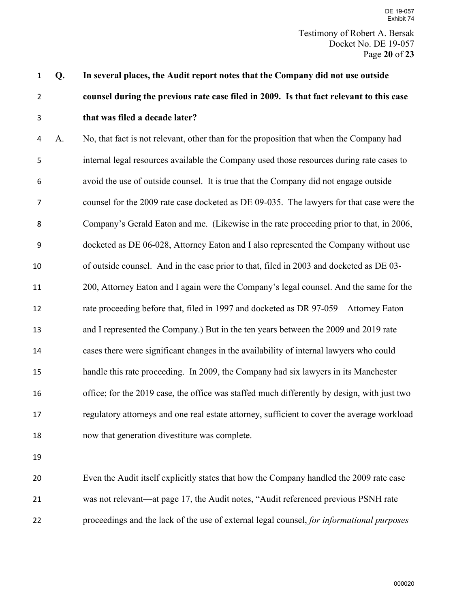# **Q. In several places, the Audit report notes that the Company did not use outside counsel during the previous rate case filed in 2009. Is that fact relevant to this case that was filed a decade later?**

A. No, that fact is not relevant, other than for the proposition that when the Company had internal legal resources available the Company used those resources during rate cases to avoid the use of outside counsel. It is true that the Company did not engage outside counsel for the 2009 rate case docketed as DE 09-035. The lawyers for that case were the Company's Gerald Eaton and me. (Likewise in the rate proceeding prior to that, in 2006, docketed as DE 06-028, Attorney Eaton and I also represented the Company without use of outside counsel. And in the case prior to that, filed in 2003 and docketed as DE 03- 200, Attorney Eaton and I again were the Company's legal counsel. And the same for the rate proceeding before that, filed in 1997 and docketed as DR 97-059—Attorney Eaton and I represented the Company.) But in the ten years between the 2009 and 2019 rate cases there were significant changes in the availability of internal lawyers who could handle this rate proceeding. In 2009, the Company had six lawyers in its Manchester office; for the 2019 case, the office was staffed much differently by design, with just two regulatory attorneys and one real estate attorney, sufficient to cover the average workload now that generation divestiture was complete.

 Even the Audit itself explicitly states that how the Company handled the 2009 rate case was not relevant—at page 17, the Audit notes, "Audit referenced previous PSNH rate proceedings and the lack of the use of external legal counsel, *for informational purposes*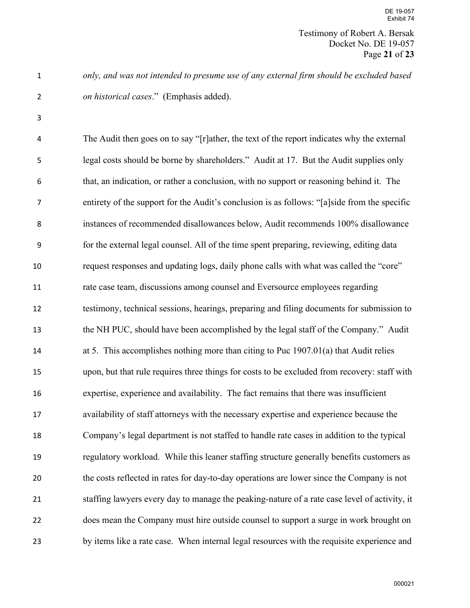Testimony of Robert A. Bersak Docket No. DE 19-057 Page **21** of **23**

*only, and was not intended to presume use of any external firm should be excluded based on historical cases*." (Emphasis added).

The Audit then goes on to say "[r]ather, the text of the report indicates why the external legal costs should be borne by shareholders." Audit at 17. But the Audit supplies only that, an indication, or rather a conclusion, with no support or reasoning behind it. The entirety of the support for the Audit's conclusion is as follows: "[a]side from the specific instances of recommended disallowances below, Audit recommends 100% disallowance for the external legal counsel. All of the time spent preparing, reviewing, editing data request responses and updating logs, daily phone calls with what was called the "core" rate case team, discussions among counsel and Eversource employees regarding testimony, technical sessions, hearings, preparing and filing documents for submission to the NH PUC, should have been accomplished by the legal staff of the Company." Audit at 5. This accomplishes nothing more than citing to Puc 1907.01(a) that Audit relies upon, but that rule requires three things for costs to be excluded from recovery: staff with expertise, experience and availability. The fact remains that there was insufficient availability of staff attorneys with the necessary expertise and experience because the Company's legal department is not staffed to handle rate cases in addition to the typical regulatory workload. While this leaner staffing structure generally benefits customers as the costs reflected in rates for day-to-day operations are lower since the Company is not staffing lawyers every day to manage the peaking-nature of a rate case level of activity, it does mean the Company must hire outside counsel to support a surge in work brought on by items like a rate case. When internal legal resources with the requisite experience and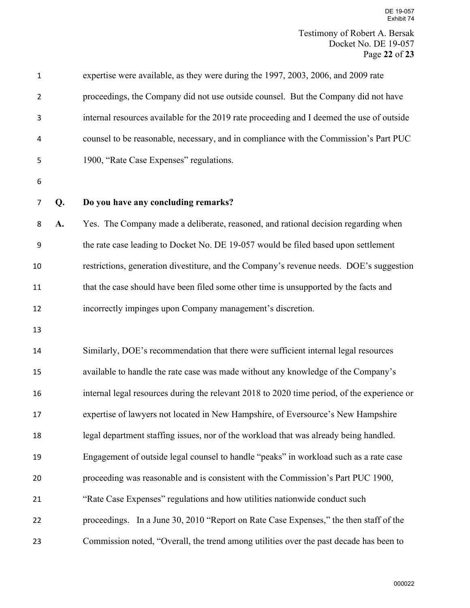| $\mathbf{1}$   |    | expertise were available, as they were during the 1997, 2003, 2006, and 2009 rate           |
|----------------|----|---------------------------------------------------------------------------------------------|
| $\overline{2}$ |    | proceedings, the Company did not use outside counsel. But the Company did not have          |
| 3              |    | internal resources available for the 2019 rate proceeding and I deemed the use of outside   |
| 4              |    | counsel to be reasonable, necessary, and in compliance with the Commission's Part PUC       |
| 5              |    | 1900, "Rate Case Expenses" regulations.                                                     |
| 6              |    |                                                                                             |
| 7              | Q. | Do you have any concluding remarks?                                                         |
| 8              | A. | Yes. The Company made a deliberate, reasoned, and rational decision regarding when          |
| 9              |    | the rate case leading to Docket No. DE 19-057 would be filed based upon settlement          |
| 10             |    | restrictions, generation divestiture, and the Company's revenue needs. DOE's suggestion     |
| 11             |    | that the case should have been filed some other time is unsupported by the facts and        |
| 12             |    | incorrectly impinges upon Company management's discretion.                                  |
| 13             |    |                                                                                             |
| 14             |    | Similarly, DOE's recommendation that there were sufficient internal legal resources         |
| 15             |    | available to handle the rate case was made without any knowledge of the Company's           |
| 16             |    | internal legal resources during the relevant 2018 to 2020 time period, of the experience or |
| 17             |    | expertise of lawyers not located in New Hampshire, of Eversource's New Hampshire            |
| 18             |    | legal department staffing issues, nor of the workload that was already being handled.       |
| 19             |    | Engagement of outside legal counsel to handle "peaks" in workload such as a rate case       |
| 20             |    | proceeding was reasonable and is consistent with the Commission's Part PUC 1900,            |
| 21             |    | "Rate Case Expenses" regulations and how utilities nationwide conduct such                  |
| 22             |    | proceedings. In a June 30, 2010 "Report on Rate Case Expenses," the then staff of the       |
| 23             |    | Commission noted, "Overall, the trend among utilities over the past decade has been to      |